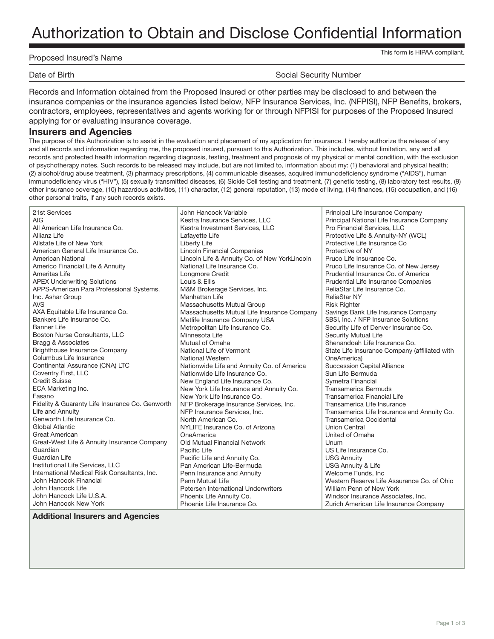# Authorization to Obtain and Disclose Confidential Information

#### Proposed Insured's Name

This form is HIPAA compliant.

Date of Birth Social Security Number

Records and Information obtained from the Proposed Insured or other parties may be disclosed to and between the insurance companies or the insurance agencies listed below, NFP Insurance Services, Inc. (NFPISI), NFP Benefits, brokers, contractors, employees, representatives and agents working for or through NFPISI for purposes of the Proposed Insured applying for or evaluating insurance coverage.

#### **Insurers and Agencies**

The purpose of this Authorization is to assist in the evaluation and placement of my application for insurance. I hereby authorize the release of any and all records and information regarding me, the proposed insured, pursuant to this Authorization. This includes, without limitation, any and all records and protected health information regarding diagnosis, testing, treatment and prognosis of my physical or mental condition, with the exclusion of psychotherapy notes. Such records to be released may include, but are not limited to, information about my: (1) behavioral and physical health; (2) alcohol/drug abuse treatment, (3) pharmacy prescriptions, (4) communicable diseases, acquired immunodeficiency syndrome ("AIDS"), human immunodeficiency virus ("HIV"), (5) sexually transmitted diseases, (6) Sickle Cell testing and treatment, (7) genetic testing, (8) laboratory test results, (9) other insurance coverage, (10) hazardous activities, (11) character, (12) general reputation, (13) mode of living, (14) finances, (15) occupation, and (16) other personal traits, if any such records exists.

| 21st Services                                   | John Hancock Variable                         | Principal Life Insurance Company              |
|-------------------------------------------------|-----------------------------------------------|-----------------------------------------------|
| AIG                                             | Kestra Insurance Services, LLC                | Principal National Life Insurance Company     |
| All American Life Insurance Co.                 | Kestra Investment Services, LLC               | Pro Financial Services, LLC                   |
| Allianz Life                                    | Lafayette Life                                | Protective Life & Annuity-NY (WCL)            |
| Allstate Life of New York                       | Liberty Life                                  | Protective Life Insurance Co                  |
| American General Life Insurance Co.             | <b>Lincoln Financial Companies</b>            | Protective of NY                              |
| <b>American National</b>                        | Lincoln Life & Annuity Co. of New YorkLincoln | Pruco Life Insurance Co.                      |
| Americo Financial Life & Annuity                | National Life Insurance Co.                   | Pruco Life Insurance Co. of New Jersey        |
| Ameritas Life                                   | Longmore Credit                               | Prudential Insurance Co. of America           |
| <b>APEX Underwriting Solutions</b>              | Louis & Ellis                                 | Prudential Life Insurance Companies           |
| APPS-American Para Professional Systems,        | M&M Brokerage Services, Inc.                  | ReliaStar Life Insurance Co.                  |
| Inc. Ashar Group                                | Manhattan Life                                | <b>ReliaStar NY</b>                           |
| <b>AVS</b>                                      | Massachusetts Mutual Group                    | <b>Risk Righter</b>                           |
| AXA Equitable Life Insurance Co.                | Massachusetts Mutual Life Insurance Company   | Savings Bank Life Insurance Company           |
| Bankers Life Insurance Co.                      | Metlife Insurance Company USA                 | SBSI, Inc. / NFP Insurance Solutions          |
| <b>Banner Life</b>                              | Metropolitan Life Insurance Co.               | Security Life of Denver Insurance Co.         |
| Boston Nurse Consultants, LLC                   | Minnesota Life                                | Security Mutual Life                          |
| Bragg & Associates                              | Mutual of Omaha                               | Shenandoah Life Insurance Co.                 |
| Brighthouse Insurance Company                   | National Life of Vermont                      | State Life Insurance Company (affiliated with |
| Columbus Life Insurance                         | <b>National Western</b>                       | OneAmerica)                                   |
| Continental Assurance (CNA) LTC                 | Nationwide Life and Annuity Co. of America    | <b>Succession Capital Alliance</b>            |
| Coventry First, LLC                             | Nationwide Life Insurance Co.                 | Sun Life Bermuda                              |
| <b>Credit Suisse</b>                            | New England Life Insurance Co.                | Symetra Financial                             |
| ECA Marketing Inc.                              | New York Life Insurance and Annuity Co.       | <b>Transamerica Bermuds</b>                   |
| Fasano                                          | New York Life Insurance Co.                   | Transamerica Financial Life                   |
| Fidelity & Guaranty Life Insurance Co. Genworth | NFP Brokerage Insurance Services, Inc.        | Transamerica Life Insurance                   |
| Life and Annuity                                | NFP Insurance Services, Inc.                  | Transamerica Life Insurance and Annuity Co.   |
| Genworth Life Insurance Co.                     | North American Co.                            | Transamerica Occidental                       |
| Global Atlantic                                 | NYLIFE Insurance Co. of Arizona               | <b>Union Central</b>                          |
| <b>Great American</b>                           | OneAmerica                                    | United of Omaha                               |
| Great-West Life & Annuity Insurance Company     | Old Mutual Financial Network                  | Unum                                          |
| Guardian                                        | Pacific Life                                  | US Life Insurance Co.                         |
| Guardian Life                                   | Pacific Life and Annuity Co.                  | <b>USG Annuity</b>                            |
| Institutional Life Services, LLC                | Pan American Life-Bermuda                     | USG Annuity & Life                            |
| International Medical Risk Consultants, Inc.    | Penn Insurance and Annuity                    | Welcome Funds, Inc.                           |
| John Hancock Financial                          | Penn Mutual Life                              | Western Reserve Life Assurance Co. of Ohio    |
| John Hancock Life                               | Petersen International Underwriters           | William Penn of New York                      |
| John Hancock Life U.S.A.                        | Phoenix Life Annuity Co.                      | Windsor Insurance Associates, Inc.            |
| John Hancock New York                           | Phoenix Life Insurance Co.                    | Zurich American Life Insurance Company        |

#### **Additional Insurers and Agencies**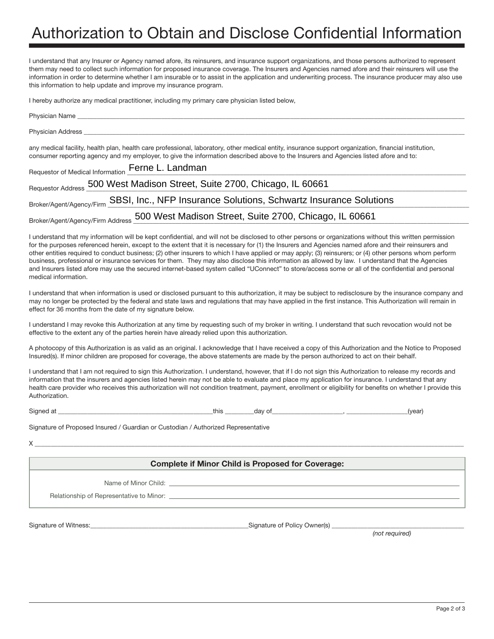# Authorization to Obtain and Disclose Confidential Information

I understand that any Insurer or Agency named afore, its reinsurers, and insurance support organizations, and those persons authorized to represent them may need to collect such information for proposed insurance coverage. The Insurers and Agencies named afore and their reinsurers will use the information in order to determine whether I am insurable or to assist in the application and underwriting process. The insurance producer may also use this information to help update and improve my insurance program.

I hereby authorize any medical practitioner, including my primary care physician listed below,

| Physician Name                                                                                                                                                                                                                                                                                |
|-----------------------------------------------------------------------------------------------------------------------------------------------------------------------------------------------------------------------------------------------------------------------------------------------|
| Physician Address                                                                                                                                                                                                                                                                             |
| any medical facility, health plan, health care professional, laboratory, other medical entity, insurance support organization, financial institution,<br>consumer reporting agency and my employer, to give the information described above to the Insurers and Agencies listed afore and to: |
| Requestor of Medical Information Ferne L. Landman                                                                                                                                                                                                                                             |
| Requestor Address 500 West Madison Street, Suite 2700, Chicago, IL 60661                                                                                                                                                                                                                      |
| Broker/Agent/Agency/Firm SBSI, Inc., NFP Insurance Solutions, Schwartz Insurance Solutions                                                                                                                                                                                                    |
| Broker/Agent/Agency/Firm Address 500 West Madison Street, Suite 2700, Chicago, IL 60661                                                                                                                                                                                                       |

I understand that my information will be kept confidential, and will not be disclosed to other persons or organizations without this written permission for the purposes referenced herein, except to the extent that it is necessary for (1) the Insurers and Agencies named afore and their reinsurers and other entities required to conduct business; (2) other insurers to which I have applied or may apply; (3) reinsurers; or (4) other persons whom perform business, professional or insurance services for them. They may also disclose this information as allowed by law. I understand that the Agencies and Insurers listed afore may use the secured internet-based system called "UConnect" to store/access some or all of the confidential and personal medical information.

I understand that when information is used or disclosed pursuant to this authorization, it may be subject to redisclosure by the insurance company and may no longer be protected by the federal and state laws and regulations that may have applied in the first instance. This Authorization will remain in effect for 36 months from the date of my signature below.

I understand I may revoke this Authorization at any time by requesting such of my broker in writing. I understand that such revocation would not be effective to the extent any of the parties herein have already relied upon this authorization.

A photocopy of this Authorization is as valid as an original. I acknowledge that I have received a copy of this Authorization and the Notice to Proposed Insured(s). If minor children are proposed for coverage, the above statements are made by the person authorized to act on their behalf.

I understand that I am not required to sign this Authorization. I understand, however, that if I do not sign this Authorization to release my records and information that the insurers and agencies listed herein may not be able to evaluate and place my application for insurance. I understand that any health care provider who receives this authorization will not condition treatment, payment, enrollment or eligibility for benefits on whether I provide this Authorization.

Signed at \_\_\_\_\_\_\_\_\_\_\_\_\_\_\_\_\_\_\_\_\_\_\_\_\_\_\_\_\_\_\_\_\_\_\_\_\_\_\_\_\_\_\_\_\_\_\_\_this \_\_\_\_\_\_\_\_\_day of\_\_\_\_\_\_\_\_\_\_\_\_\_\_\_\_\_\_\_\_\_\_, \_\_\_\_\_\_\_\_\_\_\_\_\_\_\_\_\_\_\_(year)

Signature of Proposed Insured / Guardian or Custodian / Authorized Representative

 $X \_\_$ 

#### **Complete if Minor Child is Proposed for Coverage:**

Name of Minor Child: \_

Relationship of Representative to Minor:

Signature of Witness: example of Signature of Policy Owner(s) and Signature of Policy Owner(s)  $\sim$ 

*(not required)*